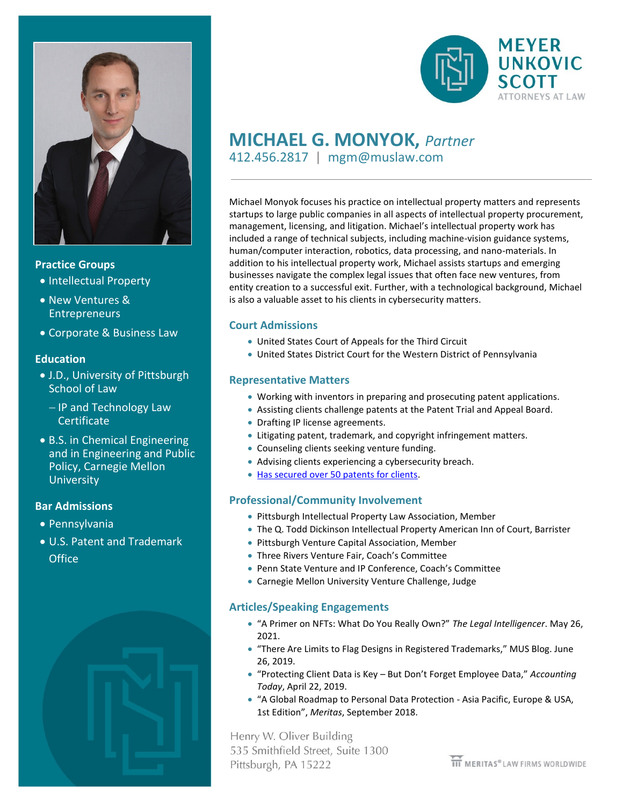

#### **Practice Groups**

- Intellectual Property
- New Ventures & **Entrepreneurs**
- Corporate & Business Law

#### **Education**

- J.D., University of Pittsburgh School of Law
	- − IP and Technology Law **Certificate**
- B.S. in Chemical Engineering and in Engineering and Public Policy, Carnegie Mellon **University**

# **Bar Admissions**

- Pennsylvania
- U.S. Patent and Trademark **Office**





# **MICHAEL G. MONYOK,** *Partner*

412.456.2817 | mgm@muslaw.com

Michael Monyok focuses his practice on intellectual property matters and represents startups to large public companies in all aspects of intellectual property procurement, management, licensing, and litigation. Michael's intellectual property work has included a range of technical subjects, including machine-vision guidance systems, human/computer interaction, robotics, data processing, and nano-materials. In addition to his intellectual property work, Michael assists startups and emerging businesses navigate the complex legal issues that often face new ventures, from entity creation to a successful exit. Further, with a technological background, Michael is also a valuable asset to his clients in cybersecurity matters.

#### **Court Admissions**

- United States Court of Appeals for the Third Circuit
- United States District Court for the Western District of Pennsylvania

# **Representative Matters**

- Working with inventors in preparing and prosecuting patent applications.
- Assisting clients challenge patents at the Patent Trial and Appeal Board.
- Drafting IP license agreements.
- Litigating patent, trademark, and copyright infringement matters.
- Counseling clients seeking venture funding.
- Advising clients experiencing a cybersecurity breach.
- [Has secured over 50 patents for clients.](http://patft.uspto.gov/netacgi/nph-Parser?Sect1=PTO2&Sect2=HITOFF&u=%2Fnetahtml%2FPTO%2Fsearch-adv.htm&r=0&p=1&f=S&l=50&Query=lrep%2Fmonyok&d=PTXT)

# **Professional/Community Involvement**

- Pittsburgh Intellectual Property Law Association, Member
- The Q. Todd Dickinson Intellectual Property American Inn of Court, Barrister
- Pittsburgh Venture Capital Association, Member
- Three Rivers Venture Fair, Coach's Committee
- Penn State Venture and IP Conference, Coach's Committee
- Carnegie Mellon University Venture Challenge, Judge

# **Articles/Speaking Engagements**

- "A Primer on NFTs: What Do You Really Own?" *The Legal Intelligencer*. May 26, 2021.
- "There Are Limits to Flag Designs in Registered Trademarks," MUS Blog. June 26, 2019.
- "Protecting Client Data is Key But Don't Forget Employee Data," *Accounting Today*, April 22, 2019.
- "A Global Roadmap to Personal Data Protection Asia Pacific, Europe & USA, 1st Edition", *Meritas*, September 2018.

Henry W. Oliver Building 535 Smithfield Street, Suite 1300 Pittsburgh, PA 15222